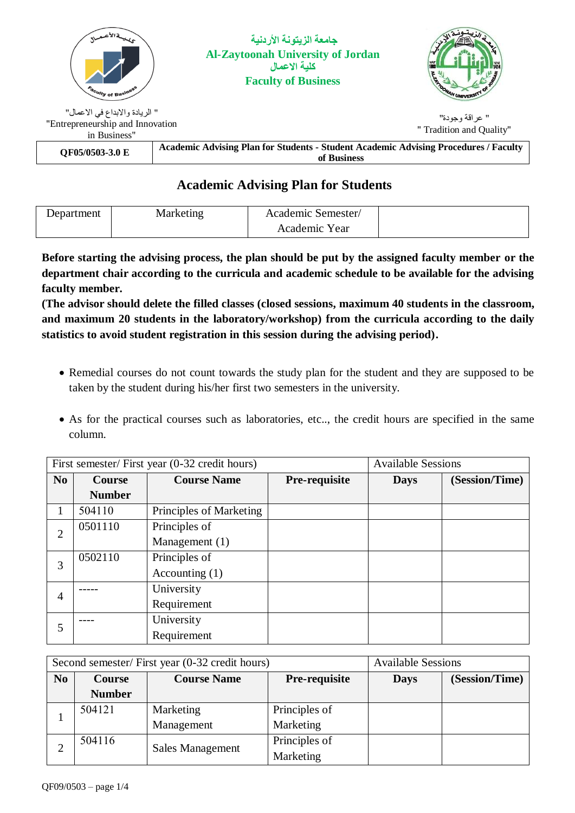

## **Academic Advising Plan for Students**

| Department | Marketing | Academic Semester/ |  |
|------------|-----------|--------------------|--|
|            |           | Academic Year      |  |

**Before starting the advising process, the plan should be put by the assigned faculty member or the department chair according to the curricula and academic schedule to be available for the advising faculty member.**

**(The advisor should delete the filled classes (closed sessions, maximum 40 students in the classroom, and maximum 20 students in the laboratory/workshop) from the curricula according to the daily statistics to avoid student registration in this session during the advising period).**

- Remedial courses do not count towards the study plan for the student and they are supposed to be taken by the student during his/her first two semesters in the university.
- As for the practical courses such as laboratories, etc.., the credit hours are specified in the same column.

| First semester/First year (0-32 credit hours) |               |                         |               | <b>Available Sessions</b> |                |  |
|-----------------------------------------------|---------------|-------------------------|---------------|---------------------------|----------------|--|
| N <sub>o</sub>                                | <b>Course</b> | <b>Course Name</b>      | Pre-requisite | <b>Days</b>               | (Session/Time) |  |
|                                               | <b>Number</b> |                         |               |                           |                |  |
|                                               | 504110        | Principles of Marketing |               |                           |                |  |
| $\overline{2}$                                | 0501110       | Principles of           |               |                           |                |  |
|                                               |               | Management (1)          |               |                           |                |  |
| 3                                             | 0502110       | Principles of           |               |                           |                |  |
|                                               |               | Accounting $(1)$        |               |                           |                |  |
| $\overline{4}$                                |               | University              |               |                           |                |  |
|                                               |               | Requirement             |               |                           |                |  |
| 5                                             |               | University              |               |                           |                |  |
|                                               |               | Requirement             |               |                           |                |  |

| Second semester/ First year (0-32 credit hours) |               |                         | <b>Available Sessions</b> |                               |  |
|-------------------------------------------------|---------------|-------------------------|---------------------------|-------------------------------|--|
| N <sub>0</sub>                                  | <b>Course</b> | <b>Course Name</b>      | Pre-requisite             | (Session/Time)<br><b>Days</b> |  |
|                                                 | <b>Number</b> |                         |                           |                               |  |
|                                                 | 504121        | Marketing               | Principles of             |                               |  |
|                                                 |               | Management              | Marketing                 |                               |  |
|                                                 | 504116        | <b>Sales Management</b> | Principles of             |                               |  |
|                                                 |               |                         | Marketing                 |                               |  |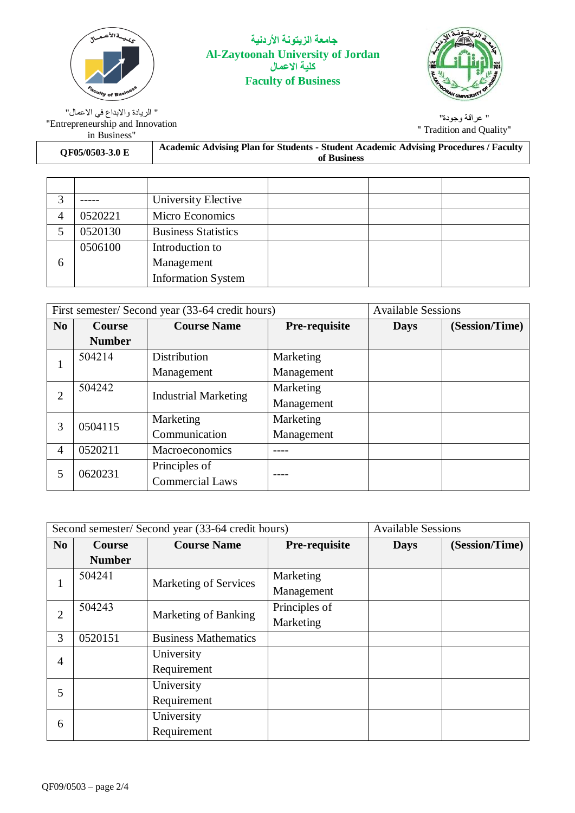

## **جامعة الزيتونة األردنية Al-Zaytoonah University of Jordan كلية االعمال Faculty of Business**



" عراقة وجودة" " Tradition and Quality"

" الريادة واالبداع في االعمال" "Entrepreneurship and Innovation in Business"

| QF05/0503-3.0 E | Academic Advising Plan for Students - Student Academic Advising Procedures / Faculty |
|-----------------|--------------------------------------------------------------------------------------|
|                 | of Business                                                                          |

|   |         | University Elective        |  |  |
|---|---------|----------------------------|--|--|
|   | 0520221 | Micro Economics            |  |  |
|   | 0520130 | <b>Business Statistics</b> |  |  |
|   | 0506100 | Introduction to            |  |  |
| 6 |         | Management                 |  |  |
|   |         | <b>Information System</b>  |  |  |

| First semester/ Second year (33-64 credit hours) |               |                             | <b>Available Sessions</b> |             |                |
|--------------------------------------------------|---------------|-----------------------------|---------------------------|-------------|----------------|
| N <sub>0</sub>                                   | <b>Course</b> | <b>Course Name</b>          | Pre-requisite             | <b>Days</b> | (Session/Time) |
|                                                  | <b>Number</b> |                             |                           |             |                |
|                                                  | 504214        | Distribution                | Marketing                 |             |                |
|                                                  |               | Management                  | Management                |             |                |
|                                                  | 504242        |                             | Marketing                 |             |                |
| 2                                                |               | <b>Industrial Marketing</b> | Management                |             |                |
| 3                                                | 0504115       | Marketing                   | Marketing                 |             |                |
|                                                  |               | Communication               | Management                |             |                |
| $\overline{4}$                                   | 0520211       | Macroeconomics              |                           |             |                |
| 5                                                | 0620231       | Principles of               |                           |             |                |
|                                                  |               | <b>Commercial Laws</b>      |                           |             |                |

| Second semester/Second year (33-64 credit hours) |               |                             | <b>Available Sessions</b> |             |                |
|--------------------------------------------------|---------------|-----------------------------|---------------------------|-------------|----------------|
| N <sub>0</sub>                                   | <b>Course</b> | <b>Course Name</b>          | Pre-requisite             | <b>Days</b> | (Session/Time) |
|                                                  | <b>Number</b> |                             |                           |             |                |
|                                                  | 504241        | Marketing of Services       | Marketing                 |             |                |
|                                                  |               |                             | Management                |             |                |
| $\overline{2}$                                   | 504243        | Marketing of Banking        | Principles of             |             |                |
|                                                  |               |                             | Marketing                 |             |                |
| 3                                                | 0520151       | <b>Business Mathematics</b> |                           |             |                |
| $\overline{4}$                                   |               | University                  |                           |             |                |
|                                                  |               | Requirement                 |                           |             |                |
| 5                                                |               | University                  |                           |             |                |
|                                                  |               | Requirement                 |                           |             |                |
|                                                  |               | University                  |                           |             |                |
| 6                                                |               | Requirement                 |                           |             |                |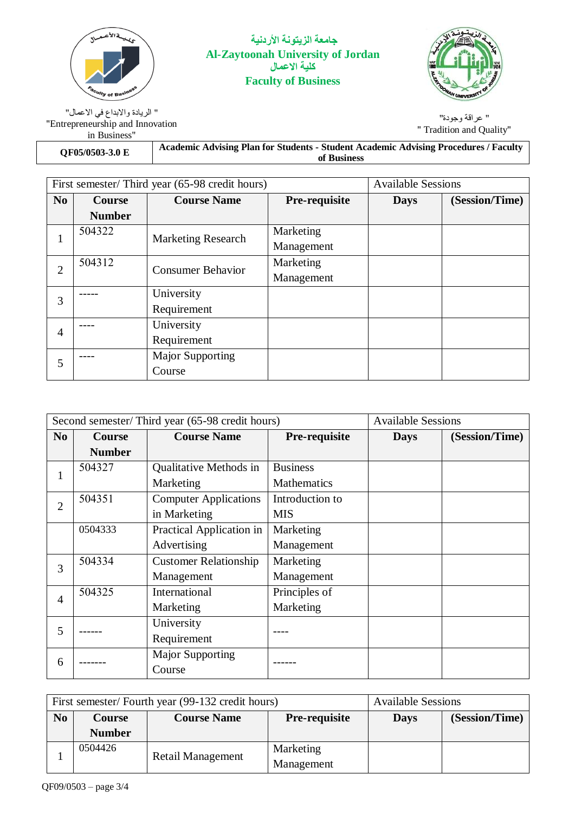

**جامعة الزيتونة األردنية Al-Zaytoonah University of Jordan كلية االعمال Faculty of Business**



" عراقة وجودة" " Tradition and Quality"

" الريادة واالبداع في االعمال" "Entrepreneurship and Innovation in Business"

**Academic Advising Plan for Students - Student Academic Advising Procedures / Faculty of Business QF05/0503-3.0 <sup>E</sup>**

| First semester/Third year (65-98 credit hours) |               |                           | <b>Available Sessions</b> |             |                |
|------------------------------------------------|---------------|---------------------------|---------------------------|-------------|----------------|
| N <sub>o</sub>                                 | <b>Course</b> | <b>Course Name</b>        | Pre-requisite             | <b>Days</b> | (Session/Time) |
|                                                | <b>Number</b> |                           |                           |             |                |
| 1                                              | 504322        | <b>Marketing Research</b> | Marketing                 |             |                |
|                                                |               |                           | Management                |             |                |
| $\overline{2}$                                 | 504312        | <b>Consumer Behavior</b>  | Marketing                 |             |                |
|                                                |               |                           | Management                |             |                |
| 3                                              |               | University                |                           |             |                |
|                                                |               | Requirement               |                           |             |                |
| $\overline{4}$                                 |               | University                |                           |             |                |
|                                                |               | Requirement               |                           |             |                |
| 5                                              |               | <b>Major Supporting</b>   |                           |             |                |
|                                                |               | Course                    |                           |             |                |

| Second semester/Third year (65-98 credit hours) |               |                              | <b>Available Sessions</b> |             |                |
|-------------------------------------------------|---------------|------------------------------|---------------------------|-------------|----------------|
| No.                                             | <b>Course</b> | <b>Course Name</b>           | Pre-requisite             | <b>Days</b> | (Session/Time) |
|                                                 | <b>Number</b> |                              |                           |             |                |
|                                                 | 504327        | Qualitative Methods in       | <b>Business</b>           |             |                |
|                                                 |               | Marketing                    | Mathematics               |             |                |
| $\overline{2}$                                  | 504351        | <b>Computer Applications</b> | Introduction to           |             |                |
|                                                 |               | in Marketing                 | <b>MIS</b>                |             |                |
|                                                 | 0504333       | Practical Application in     | Marketing                 |             |                |
|                                                 |               | Advertising                  | Management                |             |                |
| 3                                               | 504334        | <b>Customer Relationship</b> | Marketing                 |             |                |
|                                                 |               | Management                   | Management                |             |                |
| $\overline{4}$                                  | 504325        | International                | Principles of             |             |                |
|                                                 |               | Marketing                    | Marketing                 |             |                |
| 5                                               |               | University                   |                           |             |                |
|                                                 |               | Requirement                  |                           |             |                |
| 6                                               |               | <b>Major Supporting</b>      |                           |             |                |
|                                                 |               | Course                       |                           |             |                |

| First semester/Fourth year (99-132 credit hours) |               |                                     |            | <b>Available Sessions</b> |                |
|--------------------------------------------------|---------------|-------------------------------------|------------|---------------------------|----------------|
| No                                               | <b>Course</b> | <b>Course Name</b><br>Pre-requisite |            | <b>Days</b>               | (Session/Time) |
|                                                  | <b>Number</b> |                                     |            |                           |                |
|                                                  | 0504426       | Retail Management                   | Marketing  |                           |                |
|                                                  |               |                                     | Management |                           |                |